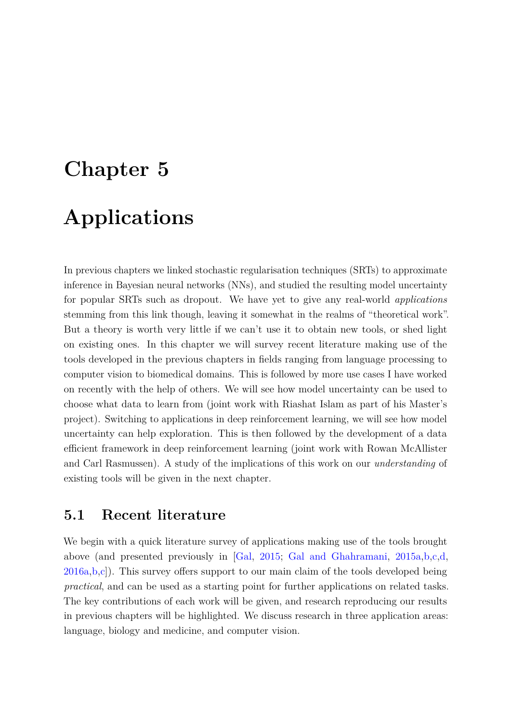# <span id="page-0-7"></span><span id="page-0-6"></span><span id="page-0-5"></span><span id="page-0-4"></span><span id="page-0-3"></span>**Chapter 5 Applications**

In previous chapters we linked stochastic regularisation techniques (SRTs) to approximate inference in Bayesian neural networks (NNs), and studied the resulting model uncertainty for popular SRTs such as dropout. We have yet to give any real-world *applications* stemming from this link though, leaving it somewhat in the realms of "theoretical work". But a theory is worth very little if we can't use it to obtain new tools, or shed light on existing ones. In this chapter we will survey recent literature making use of the tools developed in the previous chapters in fields ranging from language processing to computer vision to biomedical domains. This is followed by more use cases I have worked on recently with the help of others. We will see how model uncertainty can be used to choose what data to learn from (joint work with Riashat Islam as part of his Master's project). Switching to applications in deep reinforcement learning, we will see how model uncertainty can help exploration. This is then followed by the development of a data efficient framework in deep reinforcement learning (joint work with Rowan McAllister and Carl Rasmussen). A study of the implications of this work on our *understanding* of existing tools will be given in the next chapter.

## **5.1 Recent literature**

<span id="page-0-2"></span><span id="page-0-1"></span><span id="page-0-0"></span>We begin with a quick literature survey of applications making use of the tools brought above (and presented previously in [\[Gal,](#page-0-0) [2015;](#page-0-0) [Gal and Ghahramani,](#page-0-1) [2015a,](#page-0-1)[b,](#page-0-2)[c,](#page-0-3)[d,](#page-0-4)  $2016a,b,c$  $2016a,b,c$  $2016a,b,c$ ). This survey offers support to our main claim of the tools developed being *practical*, and can be used as a starting point for further applications on related tasks. The key contributions of each work will be given, and research reproducing our results in previous chapters will be highlighted. We discuss research in three application areas: language, biology and medicine, and computer vision.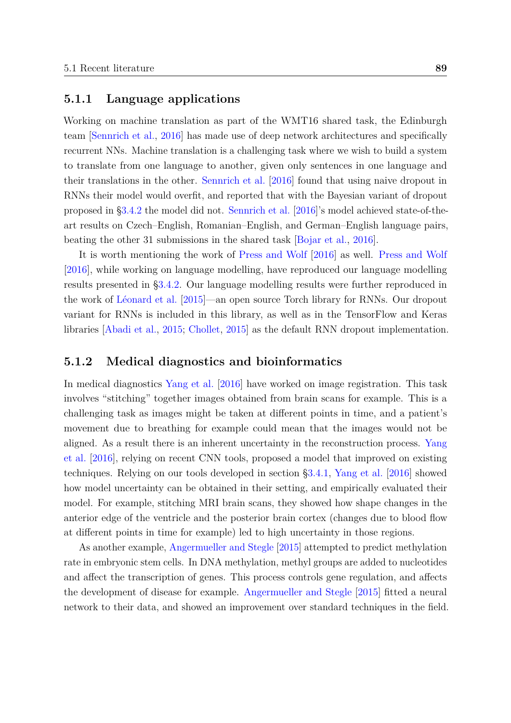#### <span id="page-1-6"></span><span id="page-1-1"></span>**5.1.1 Language applications**

Working on machine translation as part of the WMT16 shared task, the Edinburgh team [\[Sennrich et al.,](#page-1-0) [2016\]](#page-1-0) has made use of deep network architectures and specifically recurrent NNs. Machine translation is a challenging task where we wish to build a system to translate from one language to another, given only sentences in one language and their translations in the other. [Sennrich et al.](#page-1-0) [\[2016\]](#page-1-0) found that using naive dropout in RNNs their model would overfit, and reported that with the Bayesian variant of dropout proposed in [§3.4.2](#page-1-1) the model did not. [Sennrich et al.](#page-1-0) [\[2016\]](#page-1-0)'s model achieved state-of-theart results on Czech–English, Romanian–English, and German–English language pairs, beating the other 31 submissions in the shared task [\[Bojar et al.,](#page-1-2) [2016\]](#page-1-2).

<span id="page-1-7"></span><span id="page-1-5"></span>It is worth mentioning the work of [Press and Wolf](#page-1-3) [\[2016\]](#page-1-3) as well. [Press and Wolf](#page-1-3) [\[2016\]](#page-1-3), while working on language modelling, have reproduced our language modelling results presented in [§3.4.2.](#page-1-1) Our language modelling results were further reproduced in the work of [Léonard et al.](#page-1-4) [\[2015\]](#page-1-4)—an open source Torch library for RNNs. Our dropout variant for RNNs is included in this library, as well as in the TensorFlow and Keras libraries [\[Abadi et al.,](#page-1-5) [2015;](#page-1-5) [Chollet,](#page-1-6) [2015\]](#page-1-6) as the default RNN dropout implementation.

#### <span id="page-1-9"></span><span id="page-1-8"></span><span id="page-1-2"></span><span id="page-1-0"></span>**5.1.2 Medical diagnostics and bioinformatics**

In medical diagnostics [Yang et al.](#page-1-7) [\[2016\]](#page-1-7) have worked on image registration. This task involves "stitching" together images obtained from brain scans for example. This is a challenging task as images might be taken at different points in time, and a patient's movement due to breathing for example could mean that the images would not be aligned. As a result there is an inherent uncertainty in the reconstruction process. [Yang](#page-1-7) [et al.](#page-1-7) [\[2016\]](#page-1-7), relying on recent CNN tools, proposed a model that improved on existing techniques. Relying on our tools developed in section [§3.4.1,](#page-1-8) [Yang et al.](#page-1-7) [\[2016\]](#page-1-7) showed how model uncertainty can be obtained in their setting, and empirically evaluated their model. For example, stitching MRI brain scans, they showed how shape changes in the anterior edge of the ventricle and the posterior brain cortex (changes due to blood flow at different points in time for example) led to high uncertainty in those regions.

<span id="page-1-4"></span><span id="page-1-3"></span>As another example, [Angermueller and Stegle](#page-1-9) [\[2015\]](#page-1-9) attempted to predict methylation rate in embryonic stem cells. In DNA methylation, methyl groups are added to nucleotides and affect the transcription of genes. This process controls gene regulation, and affects the development of disease for example. [Angermueller and Stegle](#page-1-9) [\[2015\]](#page-1-9) fitted a neural network to their data, and showed an improvement over standard techniques in the field.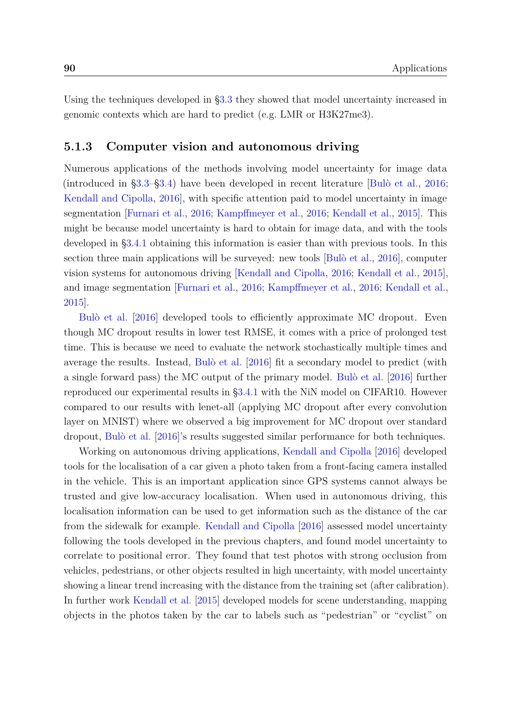Using the techniques developed in [§3.3](#page-2-0) they showed that model uncertainty increased in genomic contexts which are hard to predict (e.g. LMR or H3K27me3).

#### **5.1.3 Computer vision and autonomous driving**

<span id="page-2-1"></span><span id="page-2-0"></span>Numerous applications of the methods involving model uncertainty for image data (introduced in [§3.3–](#page-2-0)[§3.4\)](#page-2-1) have been developed in recent literature [\[Bulò et al.,](#page-2-2) [2016;](#page-2-2) [Kendall and Cipolla,](#page-2-3) [2016\]](#page-2-3), with specific attention paid to model uncertainty in image segmentation [\[Furnari et al.,](#page-2-4) [2016;](#page-2-4) [Kampffmeyer et al.,](#page-2-5) [2016;](#page-2-5) [Kendall et al.,](#page-2-6) [2015\]](#page-2-6). This might be because model uncertainty is hard to obtain for image data, and with the tools developed in [§3.4.1](#page-2-7) obtaining this information is easier than with previous tools. In this section three main applications will be surveyed: new tools [\[Bulò et al.,](#page-2-2) [2016\]](#page-2-2), computer vision systems for autonomous driving [\[Kendall and Cipolla,](#page-2-3) [2016;](#page-2-3) [Kendall et al.,](#page-2-6) [2015\]](#page-2-6), and image segmentation [\[Furnari et al.,](#page-2-4) [2016;](#page-2-4) [Kampffmeyer et al.,](#page-2-5) [2016;](#page-2-5) [Kendall et al.,](#page-2-6) [2015\]](#page-2-6).

<span id="page-2-7"></span><span id="page-2-5"></span>[Bulò et al.](#page-2-2) [\[2016\]](#page-2-2) developed tools to efficiently approximate MC dropout. Even though MC dropout results in lower test RMSE, it comes with a price of prolonged test time. This is because we need to evaluate the network stochastically multiple times and average the results. Instead, [Bulò et al.](#page-2-2) [\[2016\]](#page-2-2) fit a secondary model to predict (with a single forward pass) the MC output of the primary model. [Bulò et al.](#page-2-2) [\[2016\]](#page-2-2) further reproduced our experimental results in [§3.4.1](#page-2-7) with the NiN model on CIFAR10. However compared to our results with lenet-all (applying MC dropout after every convolution layer on MNIST) where we observed a big improvement for MC dropout over standard dropout, [Bulò et al.](#page-2-2) [\[2016\]](#page-2-2)'s results suggested similar performance for both techniques.

<span id="page-2-6"></span><span id="page-2-4"></span><span id="page-2-3"></span><span id="page-2-2"></span>Working on autonomous driving applications, [Kendall and Cipolla](#page-2-3) [\[2016\]](#page-2-3) developed tools for the localisation of a car given a photo taken from a front-facing camera installed in the vehicle. This is an important application since GPS systems cannot always be trusted and give low-accuracy localisation. When used in autonomous driving, this localisation information can be used to get information such as the distance of the car from the sidewalk for example. [Kendall and Cipolla](#page-2-3) [\[2016\]](#page-2-3) assessed model uncertainty following the tools developed in the previous chapters, and found model uncertainty to correlate to positional error. They found that test photos with strong occlusion from vehicles, pedestrians, or other objects resulted in high uncertainty, with model uncertainty showing a linear trend increasing with the distance from the training set (after calibration). In further work [Kendall et al.](#page-2-6) [\[2015\]](#page-2-6) developed models for scene understanding, mapping objects in the photos taken by the car to labels such as "pedestrian" or "cyclist" on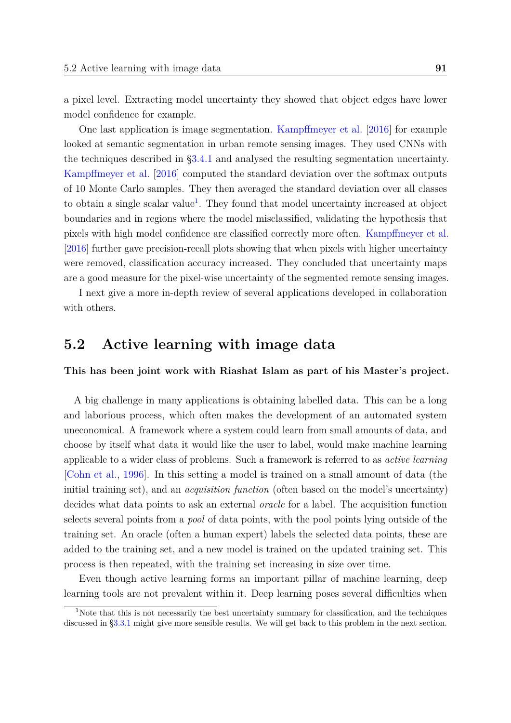<span id="page-3-4"></span>a pixel level. Extracting model uncertainty they showed that object edges have lower model confidence for example.

<span id="page-3-3"></span>One last application is image segmentation. [Kampffmeyer et al.](#page-3-0) [\[2016\]](#page-3-0) for example looked at semantic segmentation in urban remote sensing images. They used CNNs with the techniques described in [§3.4.1](#page-3-1) and analysed the resulting segmentation uncertainty. [Kampffmeyer et al.](#page-3-0) [\[2016\]](#page-3-0) computed the standard deviation over the softmax outputs of 10 Monte Carlo samples. They then averaged the standard deviation over all classes to obtain a single scalar value<sup>[1](#page-3-2)</sup>. They found that model uncertainty increased at object boundaries and in regions where the model misclassified, validating the hypothesis that pixels with high model confidence are classified correctly more often. [Kampffmeyer et al.](#page-3-0) [\[2016\]](#page-3-0) further gave precision-recall plots showing that when pixels with higher uncertainty were removed, classification accuracy increased. They concluded that uncertainty maps are a good measure for the pixel-wise uncertainty of the segmented remote sensing images.

I next give a more in-depth review of several applications developed in collaboration with others.

## <span id="page-3-0"></span>**5.2 Active learning with image data**

<span id="page-3-1"></span>**This has been joint work with Riashat Islam as part of his Master's project.**

A big challenge in many applications is obtaining labelled data. This can be a long and laborious process, which often makes the development of an automated system uneconomical. A framework where a system could learn from small amounts of data, and choose by itself what data it would like the user to label, would make machine learning applicable to a wider class of problems. Such a framework is referred to as *active learning* [\[Cohn et al.,](#page-3-3) [1996\]](#page-3-3). In this setting a model is trained on a small amount of data (the initial training set), and an *acquisition function* (often based on the model's uncertainty) decides what data points to ask an external *oracle* for a label. The acquisition function selects several points from a *pool* of data points, with the pool points lying outside of the training set. An oracle (often a human expert) labels the selected data points, these are added to the training set, and a new model is trained on the updated training set. This process is then repeated, with the training set increasing in size over time.

Even though active learning forms an important pillar of machine learning, deep learning tools are not prevalent within it. Deep learning poses several difficulties when

<span id="page-3-2"></span><sup>&</sup>lt;sup>1</sup>Note that this is not necessarily the best uncertainty summary for classification, and the techniques discussed in [§3.3.1](#page-3-4) might give more sensible results. We will get back to this problem in the next section.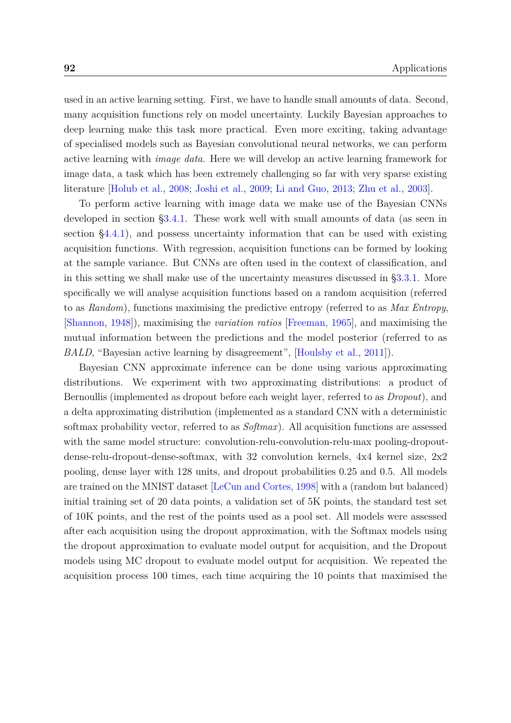<span id="page-4-5"></span><span id="page-4-2"></span>used in an active learning setting. First, we have to handle small amounts of data. Second, many acquisition functions rely on model uncertainty. Luckily Bayesian approaches to deep learning make this task more practical. Even more exciting, taking advantage of specialised models such as Bayesian convolutional neural networks, we can perform active learning with *image data*. Here we will develop an active learning framework for image data, a task which has been extremely challenging so far with very sparse existing literature [\[Holub et al.,](#page-4-0) [2008;](#page-4-0) [Joshi et al.,](#page-4-1) [2009;](#page-4-1) [Li and Guo,](#page-4-2) [2013;](#page-4-2) [Zhu et al.,](#page-4-3) [2003\]](#page-4-3).

<span id="page-4-3"></span><span id="page-4-1"></span>To perform active learning with image data we make use of the Bayesian CNNs developed in section [§3.4.1.](#page-4-4) These work well with small amounts of data (as seen in section [§4.4.1\)](#page-4-5), and possess uncertainty information that can be used with existing acquisition functions. With regression, acquisition functions can be formed by looking at the sample variance. But CNNs are often used in the context of classification, and in this setting we shall make use of the uncertainty measures discussed in [§3.3.1.](#page-4-5) More specifically we will analyse acquisition functions based on a random acquisition (referred to as *Random*), functions maximising the predictive entropy (referred to as *Max Entropy*, [\[Shannon,](#page-4-6) [1948\]](#page-4-6)), maximising the *variation ratios* [\[Freeman,](#page-4-7) [1965\]](#page-4-7), and maximising the mutual information between the predictions and the model posterior (referred to as *BALD*, "Bayesian active learning by disagreement", [\[Houlsby et al.,](#page-4-8) [2011\]](#page-4-8)).

<span id="page-4-8"></span><span id="page-4-7"></span><span id="page-4-6"></span><span id="page-4-4"></span><span id="page-4-0"></span>Bayesian CNN approximate inference can be done using various approximating distributions. We experiment with two approximating distributions: a product of Bernoullis (implemented as dropout before each weight layer, referred to as *Dropout*), and a delta approximating distribution (implemented as a standard CNN with a deterministic softmax probability vector, referred to as *Softmax*). All acquisition functions are assessed with the same model structure: convolution-relu-convolution-relu-max pooling-dropoutdense-relu-dropout-dense-softmax, with 32 convolution kernels, 4x4 kernel size, 2x2 pooling, dense layer with 128 units, and dropout probabilities 0.25 and 0.5. All models are trained on the MNIST dataset [\[LeCun and Cortes,](#page-4-7) [1998\]](#page-4-7) with a (random but balanced) initial training set of 20 data points, a validation set of 5K points, the standard test set of 10K points, and the rest of the points used as a pool set. All models were assessed after each acquisition using the dropout approximation, with the Softmax models using the dropout approximation to evaluate model output for acquisition, and the Dropout models using MC dropout to evaluate model output for acquisition. We repeated the acquisition process 100 times, each time acquiring the 10 points that maximised the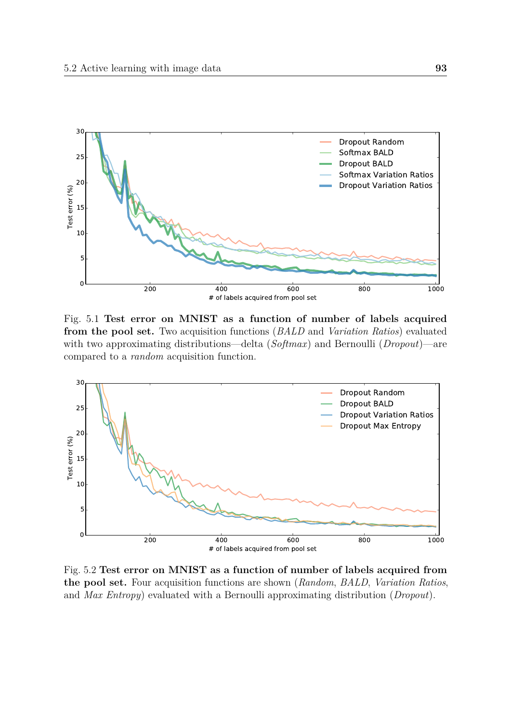<span id="page-5-0"></span>

Fig. 5.1 **Test error on MNIST as a function of number of labels acquired from the pool set.** Two acquisition functions (*BALD* and *Variation Ratios*) evaluated with two approximating distributions—delta (*Softmax*) and Bernoulli (*Dropout*)—are compared to a *random* acquisition function.



Fig. 5.2 **Test error on MNIST as a function of number of labels acquired from the pool set.** Four acquisition functions are shown (*Random*, *BALD*, *Variation Ratios*, and *Max Entropy*) evaluated with a Bernoulli approximating distribution (*Dropout*).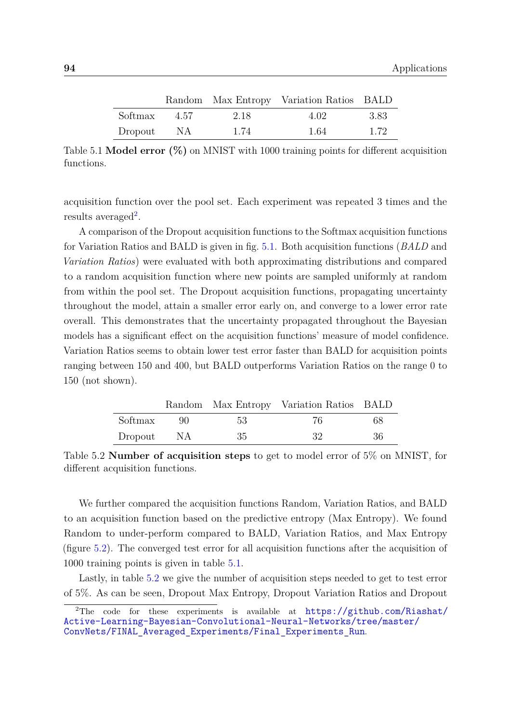<span id="page-6-1"></span>

|         |      |      | Random Max Entropy Variation Ratios BALD |       |
|---------|------|------|------------------------------------------|-------|
| Softmax | 4.57 | 2.18 | 4.02                                     | -3.83 |
| Dropout | - NA | 1.74 | 1.64                                     | 1.72  |

Table 5.1 **Model error (%)** on MNIST with 1000 training points for different acquisition functions.

acquisition function over the pool set. Each experiment was repeated 3 times and the  $results$  averaged<sup>[2](#page-6-0)</sup>.

A comparison of the Dropout acquisition functions to the Softmax acquisition functions for Variation Ratios and BALD is given in fig. [5.1.](#page-5-0) Both acquisition functions (*BALD* and *Variation Ratios*) were evaluated with both approximating distributions and compared to a random acquisition function where new points are sampled uniformly at random from within the pool set. The Dropout acquisition functions, propagating uncertainty throughout the model, attain a smaller error early on, and converge to a lower error rate overall. This demonstrates that the uncertainty propagated throughout the Bayesian models has a significant effect on the acquisition functions' measure of model confidence. Variation Ratios seems to obtain lower test error faster than BALD for acquisition points ranging between 150 and 400, but BALD outperforms Variation Ratios on the range 0 to 150 (not shown).

<span id="page-6-2"></span>

|         |       |     | Random Max Entropy Variation Ratios BALD |     |
|---------|-------|-----|------------------------------------------|-----|
| Softmax | $90-$ | -53 | 76                                       | 68  |
| Dropout | - NA  | 35  | -32                                      | -36 |

Table 5.2 **Number of acquisition steps** to get to model error of 5% on MNIST, for different acquisition functions.

We further compared the acquisition functions Random, Variation Ratios, and BALD to an acquisition function based on the predictive entropy (Max Entropy). We found Random to under-perform compared to BALD, Variation Ratios, and Max Entropy (figure [5.2\)](#page-5-0). The converged test error for all acquisition functions after the acquisition of 1000 training points is given in table [5.1.](#page-6-1)

Lastly, in table [5.2](#page-6-2) we give the number of acquisition steps needed to get to test error of 5%. As can be seen, Dropout Max Entropy, Dropout Variation Ratios and Dropout

<span id="page-6-0"></span><sup>&</sup>lt;sup>2</sup>The code for these experiments is available at [https://github.com/Riashat/](https://github.com/Riashat/Active-Learning-Bayesian-Convolutional-Neural-Networks/tree/master/ConvNets/FINAL_Averaged_Experiments/Final_Experiments_Run) [Active-Learning-Bayesian-Convolutional-Neural-Networks/tree/master/](https://github.com/Riashat/Active-Learning-Bayesian-Convolutional-Neural-Networks/tree/master/ConvNets/FINAL_Averaged_Experiments/Final_Experiments_Run) [ConvNets/FINAL\\_Averaged\\_Experiments/Final\\_Experiments\\_Run](https://github.com/Riashat/Active-Learning-Bayesian-Convolutional-Neural-Networks/tree/master/ConvNets/FINAL_Averaged_Experiments/Final_Experiments_Run).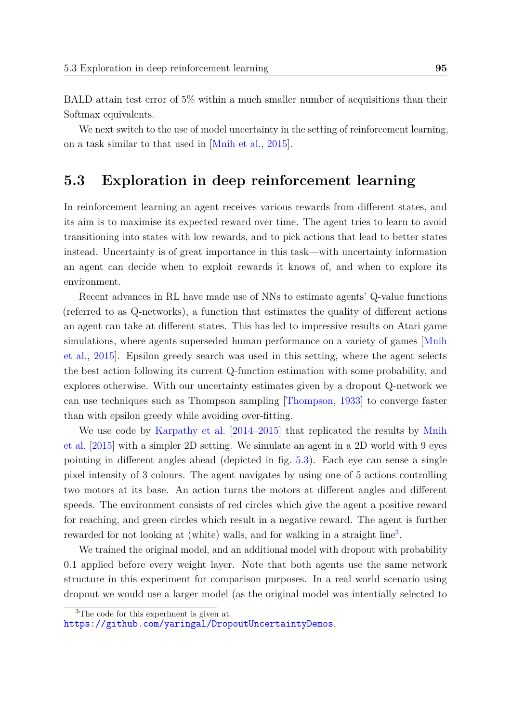BALD attain test error of 5% within a much smaller number of acquisitions than their Softmax equivalents.

We next switch to the use of model uncertainty in the setting of reinforcement learning, on a task similar to that used in [\[Mnih et al.,](#page-7-0) [2015\]](#page-7-0).

## **5.3 Exploration in deep reinforcement learning**

In reinforcement learning an agent receives various rewards from different states, and its aim is to maximise its expected reward over time. The agent tries to learn to avoid transitioning into states with low rewards, and to pick actions that lead to better states instead. Uncertainty is of great importance in this task—with uncertainty information an agent can decide when to exploit rewards it knows of, and when to explore its environment.

<span id="page-7-1"></span>Recent advances in RL have made use of NNs to estimate agents' Q-value functions (referred to as Q-networks), a function that estimates the quality of different actions an agent can take at different states. This has led to impressive results on Atari game simulations, where agents superseded human performance on a variety of games [\[Mnih](#page-7-0) [et al.,](#page-7-0) [2015\]](#page-7-0). Epsilon greedy search was used in this setting, where the agent selects the best action following its current Q-function estimation with some probability, and explores otherwise. With our uncertainty estimates given by a dropout Q-network we can use techniques such as Thompson sampling [\[Thompson,](#page-7-1) [1933\]](#page-7-1) to converge faster than with epsilon greedy while avoiding over-fitting.

<span id="page-7-2"></span>We use code by [Karpathy et al.](#page-7-2) [\[2014–2015\]](#page-7-2) that replicated the results by [Mnih](#page-7-0) [et al.](#page-7-0) [\[2015\]](#page-7-0) with a simpler 2D setting. We simulate an agent in a 2D world with 9 eyes pointing in different angles ahead (depicted in fig. [5.3\)](#page-8-0). Each eye can sense a single pixel intensity of 3 colours. The agent navigates by using one of 5 actions controlling two motors at its base. An action turns the motors at different angles and different speeds. The environment consists of red circles which give the agent a positive reward for reaching, and green circles which result in a negative reward. The agent is further rewarded for not looking at (white) walls, and for walking in a straight line<sup>[3](#page-7-3)</sup>.

We trained the original model, and an additional model with dropout with probability 0.1 applied before every weight layer. Note that both agents use the same network structure in this experiment for comparison purposes. In a real world scenario using dropout we would use a larger model (as the original model was intentially selected to

<span id="page-7-3"></span><span id="page-7-0"></span><sup>3</sup>The code for this experiment is given at

<https://github.com/yaringal/DropoutUncertaintyDemos>.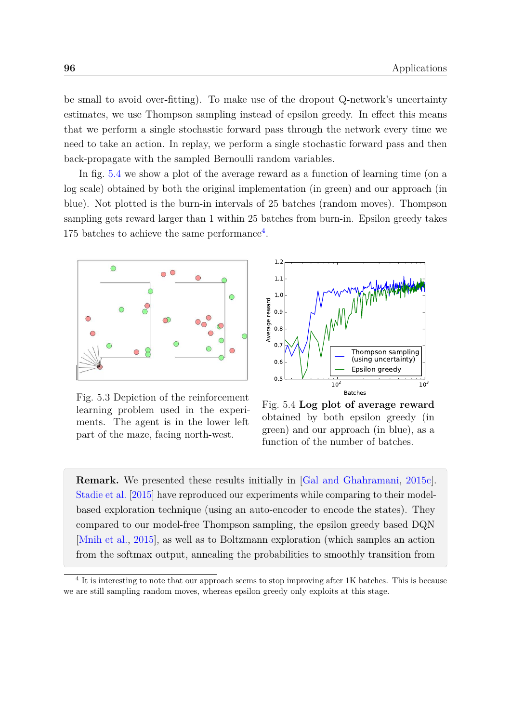<span id="page-8-2"></span>be small to avoid over-fitting). To make use of the dropout Q-network's uncertainty estimates, we use Thompson sampling instead of epsilon greedy. In effect this means that we perform a single stochastic forward pass through the network every time we need to take an action. In replay, we perform a single stochastic forward pass and then back-propagate with the sampled Bernoulli random variables.

In fig. [5.4](#page-8-0) we show a plot of the average reward as a function of learning time (on a log scale) obtained by both the original implementation (in green) and our approach (in blue). Not plotted is the burn-in intervals of 25 batches (random moves). Thompson sampling gets reward larger than 1 within 25 batches from burn-in. Epsilon greedy takes 175 batches to achieve the same performance<sup>[4](#page-8-1)</sup>.

<span id="page-8-0"></span>

Fig. 5.3 Depiction of the reinforcement learning problem used in the experiments. The agent is in the lower left part of the maze, facing north-west.



Fig. 5.4 **Log plot of average reward** obtained by both epsilon greedy (in green) and our approach (in blue), as a function of the number of batches.

**Remark.** We presented these results initially in [\[Gal and Ghahramani,](#page-8-2) [2015c\]](#page-8-2). [Stadie et al.](#page-8-2) [\[2015\]](#page-8-2) have reproduced our experiments while comparing to their modelbased exploration technique (using an auto-encoder to encode the states). They compared to our model-free Thompson sampling, the epsilon greedy based DQN [\[Mnih et al.,](#page-8-3) [2015\]](#page-8-3), as well as to Boltzmann exploration (which samples an action from the softmax output, annealing the probabilities to smoothly transition from

<span id="page-8-3"></span><span id="page-8-1"></span><sup>&</sup>lt;sup>4</sup> It is interesting to note that our approach seems to stop improving after 1K batches. This is because we are still sampling random moves, whereas epsilon greedy only exploits at this stage.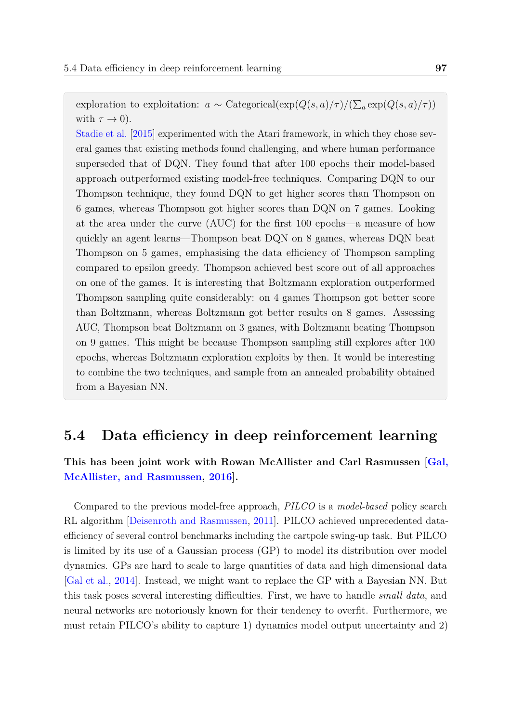<span id="page-9-0"></span>exploration to exploitation:  $a \sim$  Categorical( $\exp(Q(s, a)/\tau)/(\sum_a \exp(Q(s, a)/\tau))$ with  $\tau \to 0$ ).

<span id="page-9-2"></span>[Stadie et al.](#page-9-0) [\[2015\]](#page-9-0) experimented with the Atari framework, in which they chose several games that existing methods found challenging, and where human performance superseded that of DQN. They found that after 100 epochs their model-based approach outperformed existing model-free techniques. Comparing DQN to our Thompson technique, they found DQN to get higher scores than Thompson on 6 games, whereas Thompson got higher scores than DQN on 7 games. Looking at the area under the curve (AUC) for the first 100 epochs—a measure of how quickly an agent learns—Thompson beat DQN on 8 games, whereas DQN beat Thompson on 5 games, emphasising the data efficiency of Thompson sampling compared to epsilon greedy. Thompson achieved best score out of all approaches on one of the games. It is interesting that Boltzmann exploration outperformed Thompson sampling quite considerably: on 4 games Thompson got better score than Boltzmann, whereas Boltzmann got better results on 8 games. Assessing AUC, Thompson beat Boltzmann on 3 games, with Boltzmann beating Thompson on 9 games. This might be because Thompson sampling still explores after 100 epochs, whereas Boltzmann exploration exploits by then. It would be interesting to combine the two techniques, and sample from an annealed probability obtained from a Bayesian NN.

### <span id="page-9-3"></span><span id="page-9-1"></span>**5.4 Data efficiency in deep reinforcement learning**

**This has been joint work with Rowan McAllister and Carl Rasmussen [\[Gal,](#page-9-1) [McAllister, and Rasmussen,](#page-9-1) [2016\]](#page-9-1).**

Compared to the previous model-free approach, *PILCO* is a *model-based* policy search RL algorithm [\[Deisenroth and Rasmussen,](#page-9-2) [2011\]](#page-9-2). PILCO achieved unprecedented dataefficiency of several control benchmarks including the cartpole swing-up task. But PILCO is limited by its use of a Gaussian process (GP) to model its distribution over model dynamics. GPs are hard to scale to large quantities of data and high dimensional data [\[Gal et al.,](#page-9-3) [2014\]](#page-9-3). Instead, we might want to replace the GP with a Bayesian NN. But this task poses several interesting difficulties. First, we have to handle *small data*, and neural networks are notoriously known for their tendency to overfit. Furthermore, we must retain PILCO's ability to capture 1) dynamics model output uncertainty and 2)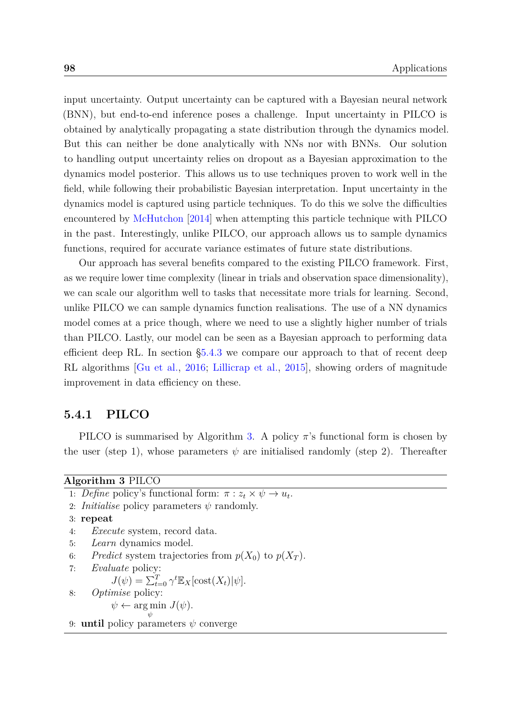<span id="page-10-2"></span>input uncertainty. Output uncertainty can be captured with a Bayesian neural network (BNN), but end-to-end inference poses a challenge. Input uncertainty in PILCO is obtained by analytically propagating a state distribution through the dynamics model. But this can neither be done analytically with NNs nor with BNNs. Our solution to handling output uncertainty relies on dropout as a Bayesian approximation to the dynamics model posterior. This allows us to use techniques proven to work well in the field, while following their probabilistic Bayesian interpretation. Input uncertainty in the dynamics model is captured using particle techniques. To do this we solve the difficulties encountered by [McHutchon](#page-10-0) [\[2014\]](#page-10-0) when attempting this particle technique with PILCO in the past. Interestingly, unlike PILCO, our approach allows us to sample dynamics functions, required for accurate variance estimates of future state distributions.

<span id="page-10-1"></span>Our approach has several benefits compared to the existing PILCO framework. First, as we require lower time complexity (linear in trials and observation space dimensionality), we can scale our algorithm well to tasks that necessitate more trials for learning. Second, unlike PILCO we can sample dynamics function realisations. The use of a NN dynamics model comes at a price though, where we need to use a slightly higher number of trials than PILCO. Lastly, our model can be seen as a Bayesian approach to performing data efficient deep RL. In section [§5.4.3](#page-14-0) we compare our approach to that of recent deep RL algorithms [\[Gu et al.,](#page-10-1) [2016;](#page-10-1) [Lillicrap et al.,](#page-10-2) [2015\]](#page-10-2), showing orders of magnitude improvement in data efficiency on these.

#### **5.4.1 PILCO**

PILCO is summarised by Algorithm [3.](#page-10-3) A policy *π*'s functional form is chosen by the user (step 1), whose parameters  $\psi$  are initialised randomly (step 2). Thereafter

<span id="page-10-3"></span><span id="page-10-0"></span>

| Algorithm 3 PILCO |  |  |
|-------------------|--|--|
|-------------------|--|--|

1: *Define* policy's functional form:  $\pi$  :  $z_t \times \psi \rightarrow u_t$ . 2: *Initialise* policy parameters *ψ* randomly. 3: **repeat** 4: *Execute* system, record data. 5: *Learn* dynamics model. 6: *Predict* system trajectories from  $p(X_0)$  to  $p(X_T)$ . 7: *Evaluate* policy:  $J(\psi) = \sum_{t=0}^{T} \gamma^t \mathbb{E}_X[\text{cost}(X_t)|\psi].$ 8: *Optimise* policy:  $\psi \leftarrow \arg \min J(\psi).$ *ψ* 9: **until** policy parameters *ψ* converge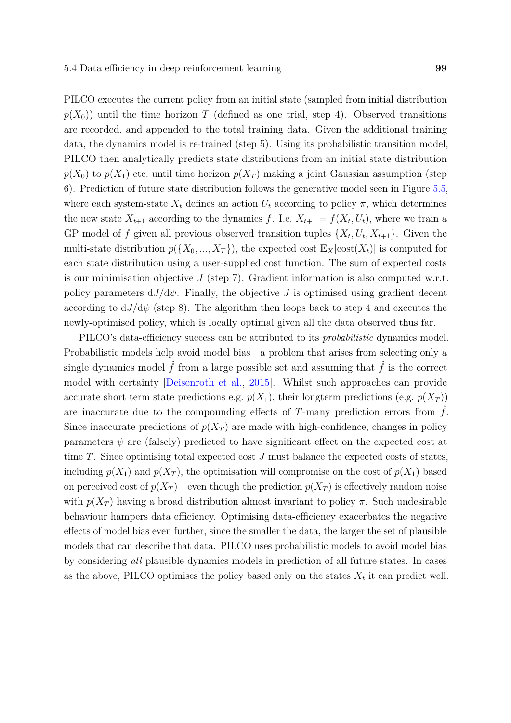PILCO executes the current policy from an initial state (sampled from initial distribution  $p(X_0)$ ) until the time horizon *T* (defined as one trial, step 4). Observed transitions are recorded, and appended to the total training data. Given the additional training data, the dynamics model is re-trained (step 5). Using its probabilistic transition model, PILCO then analytically predicts state distributions from an initial state distribution  $p(X_0)$  to  $p(X_1)$  etc. until time horizon  $p(X_T)$  making a joint Gaussian assumption (step 6). Prediction of future state distribution follows the generative model seen in Figure [5.5,](#page-12-0) where each system-state  $X_t$  defines an action  $U_t$  according to policy  $\pi$ , which determines the new state  $X_{t+1}$  according to the dynamics f. I.e.  $X_{t+1} = f(X_t, U_t)$ , where we train a GP model of f given all previous observed transition tuples  $\{X_t, U_t, X_{t+1}\}$ . Given the multi-state distribution  $p({X_0, ..., X_T})$ , the expected cost  $\mathbb{E}_X[\text{cost}(X_t)]$  is computed for

<span id="page-11-0"></span>each state distribution using a user-supplied cost function. The sum of expected costs is our minimisation objective  $J$  (step 7). Gradient information is also computed w.r.t. policy parameters  $dJ/d\psi$ . Finally, the objective *J* is optimised using gradient decent according to  $dJ/d\psi$  (step 8). The algorithm then loops back to step 4 and executes the newly-optimised policy, which is locally optimal given all the data observed thus far.

PILCO's data-efficiency success can be attributed to its *probabilistic* dynamics model. Probabilistic models help avoid model bias—a problem that arises from selecting only a single dynamics model  $\hat{f}$  from a large possible set and assuming that  $\hat{f}$  is the correct model with certainty [\[Deisenroth et al.,](#page-11-0) [2015\]](#page-11-0). Whilst such approaches can provide accurate short term state predictions e.g.  $p(X_1)$ , their longterm predictions (e.g.  $p(X_T)$ ) are inaccurate due to the compounding effects of  $T$ -many prediction errors from  $\hat{f}$ . Since inaccurate predictions of  $p(X_T)$  are made with high-confidence, changes in policy parameters  $\psi$  are (falsely) predicted to have significant effect on the expected cost at time *T*. Since optimising total expected cost *J* must balance the expected costs of states, including  $p(X_1)$  and  $p(X_T)$ , the optimisation will compromise on the cost of  $p(X_1)$  based on perceived cost of  $p(X_T)$ —even though the prediction  $p(X_T)$  is effectively random noise with  $p(X_T)$  having a broad distribution almost invariant to policy  $\pi$ . Such undesirable behaviour hampers data efficiency. Optimising data-efficiency exacerbates the negative effects of model bias even further, since the smaller the data, the larger the set of plausible models that can describe that data. PILCO uses probabilistic models to avoid model bias by considering *all* plausible dynamics models in prediction of all future states. In cases as the above, PILCO optimises the policy based only on the states  $X_t$  it can predict well.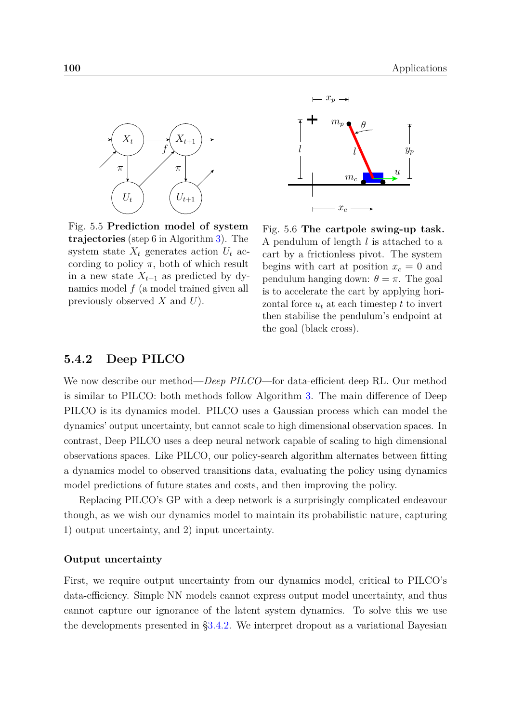<span id="page-12-1"></span><span id="page-12-0"></span>

Fig. 5.5 **Prediction model of system trajectories** (step 6 in Algorithm [3\)](#page-10-3). The system state  $X_t$  generates action  $U_t$  according to policy  $\pi$ , both of which result in a new state  $X_{t+1}$  as predicted by dynamics model *f* (a model trained given all previously observed *X* and *U*).



Fig. 5.6 **The cartpole swing-up task.** A pendulum of length *l* is attached to a cart by a frictionless pivot. The system begins with cart at position  $x_c = 0$  and pendulum hanging down:  $\theta = \pi$ . The goal is to accelerate the cart by applying horizontal force  $u_t$  at each timestep  $t$  to invert then stabilise the pendulum's endpoint at the goal (black cross).

#### **5.4.2 Deep PILCO**

We now describe our method—*Deep PILCO*—for data-efficient deep RL. Our method is similar to PILCO: both methods follow Algorithm [3.](#page-10-3) The main difference of Deep PILCO is its dynamics model. PILCO uses a Gaussian process which can model the dynamics' output uncertainty, but cannot scale to high dimensional observation spaces. In contrast, Deep PILCO uses a deep neural network capable of scaling to high dimensional observations spaces. Like PILCO, our policy-search algorithm alternates between fitting a dynamics model to observed transitions data, evaluating the policy using dynamics model predictions of future states and costs, and then improving the policy.

Replacing PILCO's GP with a deep network is a surprisingly complicated endeavour though, as we wish our dynamics model to maintain its probabilistic nature, capturing 1) output uncertainty, and 2) input uncertainty.

#### **Output uncertainty**

First, we require output uncertainty from our dynamics model, critical to PILCO's data-efficiency. Simple NN models cannot express output model uncertainty, and thus cannot capture our ignorance of the latent system dynamics. To solve this we use the developments presented in [§3.4.2.](#page-12-1) We interpret dropout as a variational Bayesian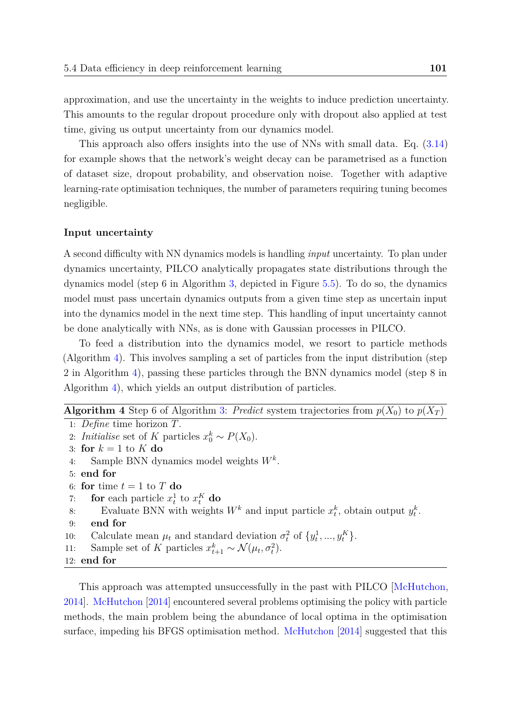approximation, and use the uncertainty in the weights to induce prediction uncertainty. This amounts to the regular dropout procedure only with dropout also applied at test time, giving us output uncertainty from our dynamics model.

This approach also offers insights into the use of NNs with small data. Eq. [\(3.14\)](#page-13-0) for example shows that the network's weight decay can be parametrised as a function of dataset size, dropout probability, and observation noise. Together with adaptive learning-rate optimisation techniques, the number of parameters requiring tuning becomes negligible.

#### **Input uncertainty**

A second difficulty with NN dynamics models is handling *input* uncertainty. To plan under dynamics uncertainty, PILCO analytically propagates state distributions through the dynamics model (step 6 in Algorithm [3,](#page-10-3) depicted in Figure [5.5\)](#page-12-0). To do so, the dynamics model must pass uncertain dynamics outputs from a given time step as uncertain input into the dynamics model in the next time step. This handling of input uncertainty cannot be done analytically with NNs, as is done with Gaussian processes in PILCO.

<span id="page-13-0"></span>To feed a distribution into the dynamics model, we resort to particle methods (Algorithm [4\)](#page-13-1). This involves sampling a set of particles from the input distribution (step 2 in Algorithm [4\)](#page-13-1), passing these particles through the BNN dynamics model (step 8 in Algorithm [4\)](#page-13-1), which yields an output distribution of particles.

## <span id="page-13-1"></span>**Algorithm 4** Step 6 of Algorithm [3:](#page-10-3) *Predict* system trajectories from  $p(X_0)$  to  $p(X_T)$

<span id="page-13-2"></span>1: *Define* time horizon *T*. 2: *Initialise* set of *K* particles  $x_0^k \sim P(X_0)$ . 3: for  $k = 1$  to  $K$  do 4: Sample BNN dynamics model weights *W<sup>k</sup>* . 5: **end for** 6: **for** time  $t = 1$  to  $T$  **do** 7: **for** each particle  $x_t^1$  $\int_t^1$  to  $x_t^K$  do 8: Evaluate BNN with weights  $W^k$  and input particle  $x_t^k$ , obtain output  $y_t^k$ . 9: **end for** 10: Calculate mean  $\mu_t$  and standard deviation  $\sigma_t^2$  $\frac{2}{t}$  of  $\{y_t^1\}$  $y_t^1, ..., y_t^K$ . 11: Sample set of *K* particles  $x_{t+1}^k \sim \mathcal{N}(\mu_t, \sigma_t^2)$ . 12: **end for**

This approach was attempted unsuccessfully in the past with PILCO [\[McHutchon,](#page-13-2) [2014\]](#page-13-2). [McHutchon](#page-13-2) [\[2014\]](#page-13-2) encountered several problems optimising the policy with particle methods, the main problem being the abundance of local optima in the optimisation surface, impeding his BFGS optimisation method. [McHutchon](#page-13-2) [\[2014\]](#page-13-2) suggested that this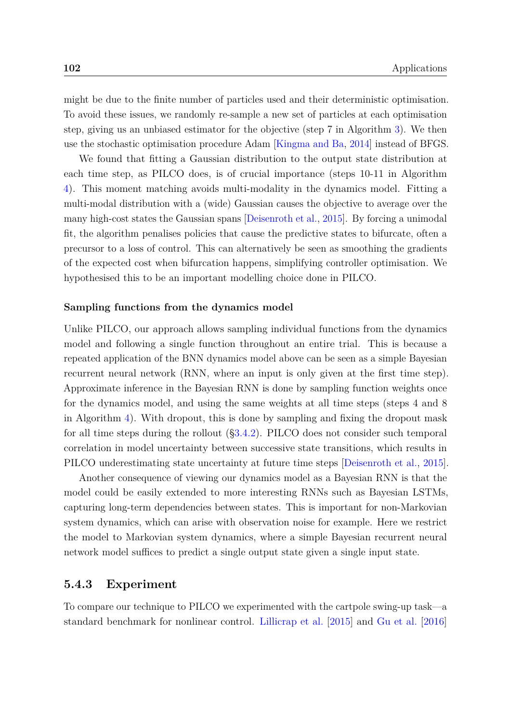<span id="page-14-3"></span>might be due to the finite number of particles used and their deterministic optimisation. To avoid these issues, we randomly re-sample a new set of particles at each optimisation step, giving us an unbiased estimator for the objective (step 7 in Algorithm [3\)](#page-10-3). We then use the stochastic optimisation procedure Adam [\[Kingma and Ba,](#page-14-1) [2014\]](#page-14-1) instead of BFGS.

<span id="page-14-4"></span><span id="page-14-2"></span>We found that fitting a Gaussian distribution to the output state distribution at each time step, as PILCO does, is of crucial importance (steps 10-11 in Algorithm [4\)](#page-13-1). This moment matching avoids multi-modality in the dynamics model. Fitting a multi-modal distribution with a (wide) Gaussian causes the objective to average over the many high-cost states the Gaussian spans [\[Deisenroth et al.,](#page-14-2) [2015\]](#page-14-2). By forcing a unimodal fit, the algorithm penalises policies that cause the predictive states to bifurcate, often a precursor to a loss of control. This can alternatively be seen as smoothing the gradients of the expected cost when bifurcation happens, simplifying controller optimisation. We hypothesised this to be an important modelling choice done in PILCO.

#### <span id="page-14-5"></span>**Sampling functions from the dynamics model**

Unlike PILCO, our approach allows sampling individual functions from the dynamics model and following a single function throughout an entire trial. This is because a repeated application of the BNN dynamics model above can be seen as a simple Bayesian recurrent neural network (RNN, where an input is only given at the first time step). Approximate inference in the Bayesian RNN is done by sampling function weights once for the dynamics model, and using the same weights at all time steps (steps 4 and 8 in Algorithm [4\)](#page-13-1). With dropout, this is done by sampling and fixing the dropout mask for all time steps during the rollout ([§3.4.2\)](#page-14-3). PILCO does not consider such temporal correlation in model uncertainty between successive state transitions, which results in PILCO underestimating state uncertainty at future time steps [\[Deisenroth et al.,](#page-14-2) [2015\]](#page-14-2).

Another consequence of viewing our dynamics model as a Bayesian RNN is that the model could be easily extended to more interesting RNNs such as Bayesian LSTMs, capturing long-term dependencies between states. This is important for non-Markovian system dynamics, which can arise with observation noise for example. Here we restrict the model to Markovian system dynamics, where a simple Bayesian recurrent neural network model suffices to predict a single output state given a single input state.

#### <span id="page-14-1"></span><span id="page-14-0"></span>**5.4.3 Experiment**

To compare our technique to PILCO we experimented with the cartpole swing-up task—a standard benchmark for nonlinear control. [Lillicrap et al.](#page-14-4) [\[2015\]](#page-14-4) and [Gu et al.](#page-14-5) [\[2016\]](#page-14-5)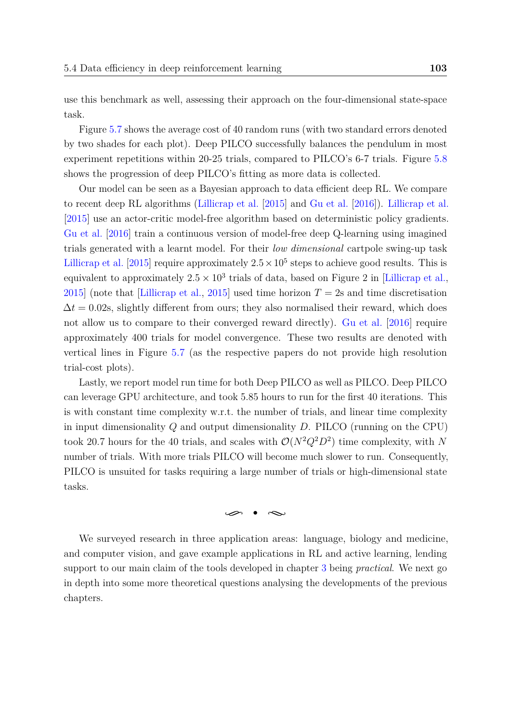<span id="page-15-2"></span>use this benchmark as well, assessing their approach on the four-dimensional state-space task.

Figure [5.7](#page-16-0) shows the average cost of 40 random runs (with two standard errors denoted by two shades for each plot). Deep PILCO successfully balances the pendulum in most experiment repetitions within 20-25 trials, compared to PILCO's 6-7 trials. Figure [5.8](#page-16-0) shows the progression of deep PILCO's fitting as more data is collected.

<span id="page-15-1"></span><span id="page-15-0"></span>Our model can be seen as a Bayesian approach to data efficient deep RL. We compare to recent deep RL algorithms [\(Lillicrap et al.](#page-15-0) [\[2015\]](#page-15-0) and [Gu et al.](#page-15-1) [\[2016\]](#page-15-1)). [Lillicrap et al.](#page-15-0) [\[2015\]](#page-15-0) use an actor-critic model-free algorithm based on deterministic policy gradients. [Gu et al.](#page-15-1) [\[2016\]](#page-15-1) train a continuous version of model-free deep Q-learning using imagined trials generated with a learnt model. For their *low dimensional* cartpole swing-up task [Lillicrap et al.](#page-15-0) [\[2015\]](#page-15-0) require approximately  $2.5 \times 10^5$  steps to achieve good results. This is equivalent to approximately  $2.5 \times 10^3$  trials of data, based on Figure 2 in [\[Lillicrap et al.,](#page-15-0) [2015\]](#page-15-0) (note that [\[Lillicrap et al.,](#page-15-0) 2015] used time horizon  $T = 2s$  and time discretisation  $\Delta t = 0.02$ s, slightly different from ours; they also normalised their reward, which does not allow us to compare to their converged reward directly). [Gu et al.](#page-15-1) [\[2016\]](#page-15-1) require approximately 400 trials for model convergence. These two results are denoted with vertical lines in Figure [5.7](#page-16-0) (as the respective papers do not provide high resolution trial-cost plots).

Lastly, we report model run time for both Deep PILCO as well as PILCO. Deep PILCO can leverage GPU architecture, and took 5*.*85 hours to run for the first 40 iterations. This is with constant time complexity w.r.t. the number of trials, and linear time complexity in input dimensionality *Q* and output dimensionality *D*. PILCO (running on the CPU) took 20.7 hours for the 40 trials, and scales with  $\mathcal{O}(N^2Q^2D^2)$  time complexity, with N number of trials. With more trials PILCO will become much slower to run. Consequently, PILCO is unsuited for tasks requiring a large number of trials or high-dimensional state tasks.

#### $\varphi \bullet \infty$

We surveyed research in three application areas: language, biology and medicine, and computer vision, and gave example applications in RL and active learning, lending support to our main claim of the tools developed in chapter [3](#page-15-2) being *practical*. We next go in depth into some more theoretical questions analysing the developments of the previous chapters.